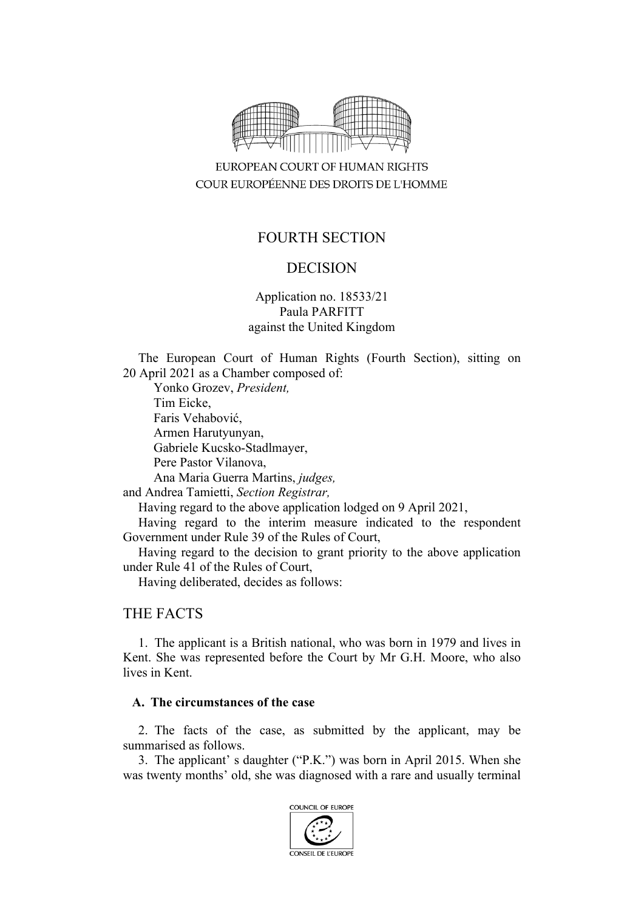

EUROPEAN COURT OF HUMAN RIGHTS COUR EUROPÉENNE DES DROITS DE L'HOMME

# FOURTH SECTION

# DECISION

Application no. 18533/21 Paula PARFITT against the United Kingdom

The European Court of Human Rights (Fourth Section), sitting on 20 April 2021 as a Chamber composed of:

Yonko Grozev, *President,* Tim Eicke, Faris Vehabović, Armen Harutyunyan, Gabriele Kucsko-Stadlmayer, Pere Pastor Vilanova, Ana Maria Guerra Martins, *judges,*

and Andrea Tamietti, *Section Registrar,*

Having regard to the above application lodged on 9 April 2021,

Having regard to the interim measure indicated to the respondent Government under Rule 39 of the Rules of Court,

Having regard to the decision to grant priority to the above application under Rule 41 of the Rules of Court,

Having deliberated, decides as follows:

# THE FACTS

1. The applicant is a British national, who was born in 1979 and lives in Kent. She was represented before the Court by Mr G.H. Moore, who also lives in Kent.

### **A. The circumstances of the case**

2. The facts of the case, as submitted by the applicant, may be summarised as follows.

3. The applicant' s daughter ("P.K.") was born in April 2015. When she was twenty months' old, she was diagnosed with a rare and usually terminal

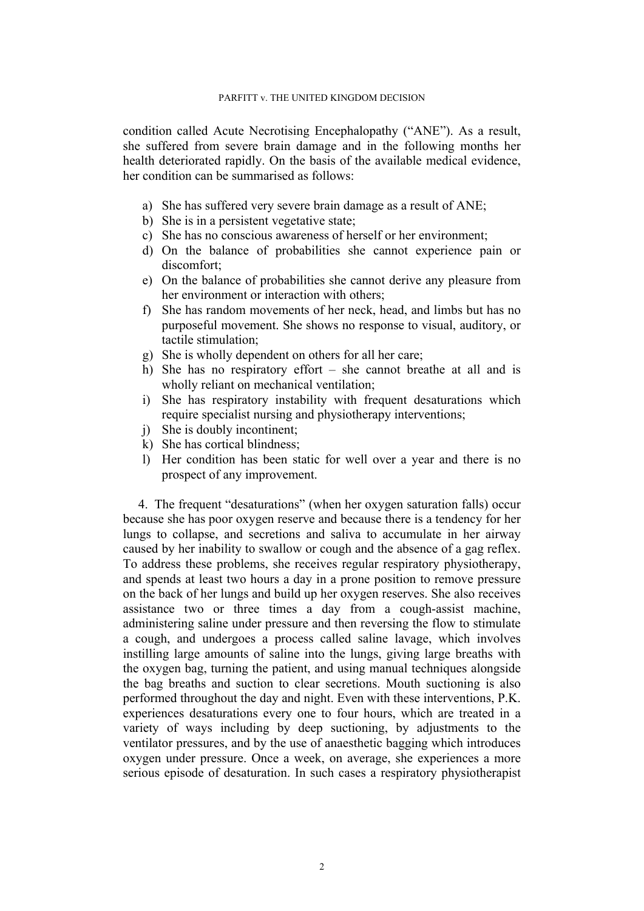condition called Acute Necrotising Encephalopathy ("ANE"). As a result, she suffered from severe brain damage and in the following months her health deteriorated rapidly. On the basis of the available medical evidence, her condition can be summarised as follows:

- a) She has suffered very severe brain damage as a result of ANE;
- b) She is in a persistent vegetative state;
- c) She has no conscious awareness of herself or her environment;
- d) On the balance of probabilities she cannot experience pain or discomfort;
- e) On the balance of probabilities she cannot derive any pleasure from her environment or interaction with others;
- f) She has random movements of her neck, head, and limbs but has no purposeful movement. She shows no response to visual, auditory, or tactile stimulation;
- g) She is wholly dependent on others for all her care;
- h) She has no respiratory effort she cannot breathe at all and is wholly reliant on mechanical ventilation;
- i) She has respiratory instability with frequent desaturations which require specialist nursing and physiotherapy interventions;
- j) She is doubly incontinent;
- k) She has cortical blindness;
- l) Her condition has been static for well over a year and there is no prospect of any improvement.

4. The frequent "desaturations" (when her oxygen saturation falls) occur because she has poor oxygen reserve and because there is a tendency for her lungs to collapse, and secretions and saliva to accumulate in her airway caused by her inability to swallow or cough and the absence of a gag reflex. To address these problems, she receives regular respiratory physiotherapy, and spends at least two hours a day in a prone position to remove pressure on the back of her lungs and build up her oxygen reserves. She also receives assistance two or three times a day from a cough-assist machine, administering saline under pressure and then reversing the flow to stimulate a cough, and undergoes a process called saline lavage, which involves instilling large amounts of saline into the lungs, giving large breaths with the oxygen bag, turning the patient, and using manual techniques alongside the bag breaths and suction to clear secretions. Mouth suctioning is also performed throughout the day and night. Even with these interventions, P.K. experiences desaturations every one to four hours, which are treated in a variety of ways including by deep suctioning, by adjustments to the ventilator pressures, and by the use of anaesthetic bagging which introduces oxygen under pressure. Once a week, on average, she experiences a more serious episode of desaturation. In such cases a respiratory physiotherapist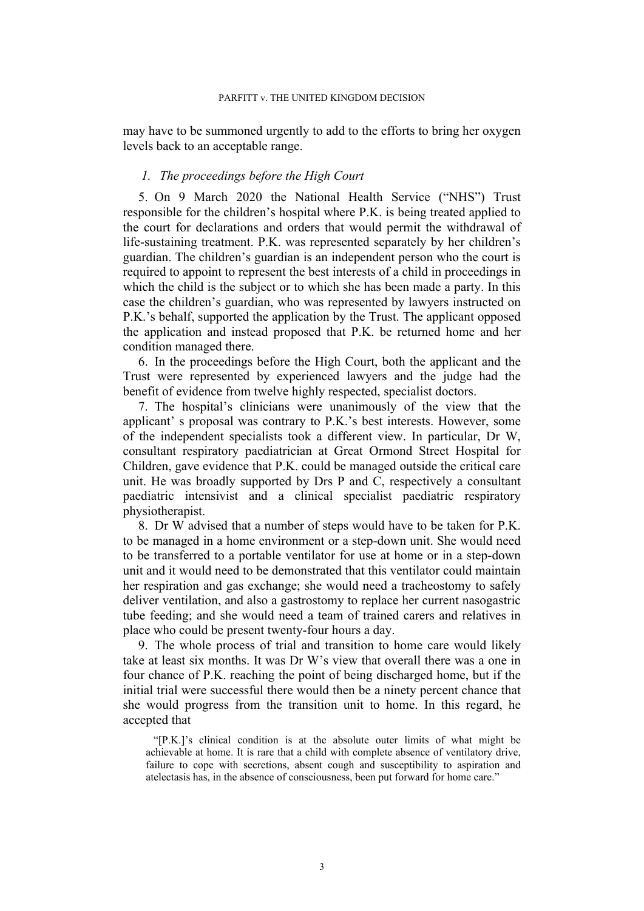may have to be summoned urgently to add to the efforts to bring her oxygen levels back to an acceptable range.

### *1. The proceedings before the High Court*

<span id="page-2-1"></span>5. On 9 March 2020 the National Health Service ("NHS") Trust responsible for the children's hospital where P.K. is being treated applied to the court for declarations and orders that would permit the withdrawal of life-sustaining treatment. P.K. was represented separately by her children's guardian. The children's guardian is an independent person who the court is required to appoint to represent the best interests of a child in proceedings in which the child is the subject or to which she has been made a party. In this case the children's guardian, who was represented by lawyers instructed on P.K.'s behalf, supported the application by the Trust. The applicant opposed the application and instead proposed that P.K. be returned home and her condition managed there.

<span id="page-2-2"></span>6. In the proceedings before the High Court, both the applicant and the Trust were represented by experienced lawyers and the judge had the benefit of evidence from twelve highly respected, specialist doctors.

<span id="page-2-0"></span>7. The hospital's clinicians were unanimously of the view that the applicant' s proposal was contrary to P.K.'s best interests. However, some of the independent specialists took a different view. In particular, Dr W, consultant respiratory paediatrician at Great Ormond Street Hospital for Children, gave evidence that P.K. could be managed outside the critical care unit. He was broadly supported by Drs P and C, respectively a consultant paediatric intensivist and a clinical specialist paediatric respiratory physiotherapist.

8. Dr W advised that a number of steps would have to be taken for P.K. to be managed in a home environment or a step-down unit. She would need to be transferred to a portable ventilator for use at home or in a step-down unit and it would need to be demonstrated that this ventilator could maintain her respiration and gas exchange; she would need a tracheostomy to safely deliver ventilation, and also a gastrostomy to replace her current nasogastric tube feeding; and she would need a team of trained carers and relatives in place who could be present twenty-four hours a day.

<span id="page-2-3"></span>9. The whole process of trial and transition to home care would likely take at least six months. It was Dr W's view that overall there was a one in four chance of P.K. reaching the point of being discharged home, but if the initial trial were successful there would then be a ninety percent chance that she would progress from the transition unit to home. In this regard, he accepted that

"[P.K.]'s clinical condition is at the absolute outer limits of what might be achievable at home. It is rare that a child with complete absence of ventilatory drive, failure to cope with secretions, absent cough and susceptibility to aspiration and atelectasis has, in the absence of consciousness, been put forward for home care."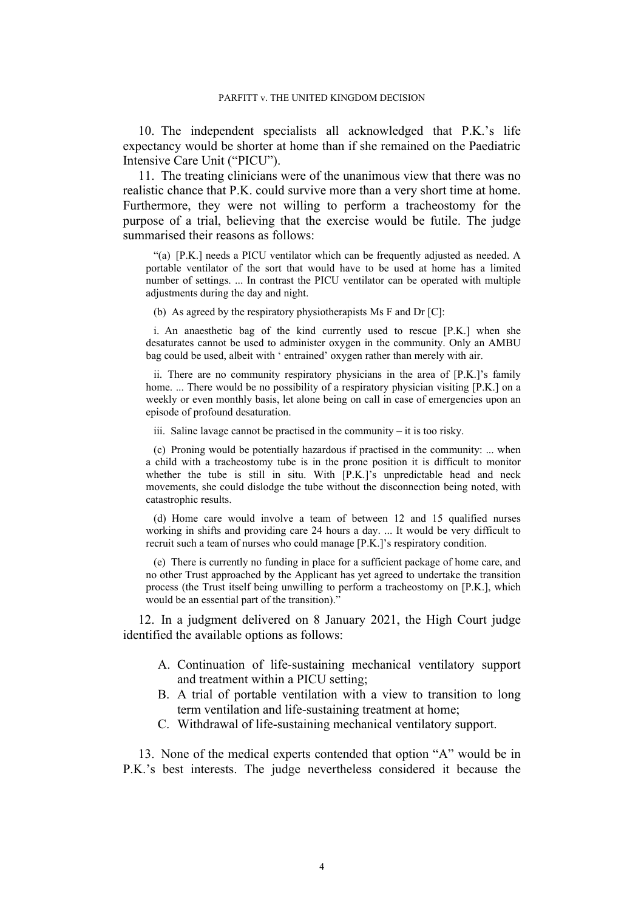<span id="page-3-1"></span>10. The independent specialists all acknowledged that P.K.'s life expectancy would be shorter at home than if she remained on the Paediatric Intensive Care Unit ("PICU").

11. The treating clinicians were of the unanimous view that there was no realistic chance that P.K. could survive more than a very short time at home. Furthermore, they were not willing to perform a tracheostomy for the purpose of a trial, believing that the exercise would be futile. The judge summarised their reasons as follows:

"(a) [P.K.] needs a PICU ventilator which can be frequently adjusted as needed. A portable ventilator of the sort that would have to be used at home has a limited number of settings. ... In contrast the PICU ventilator can be operated with multiple adjustments during the day and night.

(b) As agreed by the respiratory physiotherapists Ms F and Dr [C]:

i. An anaesthetic bag of the kind currently used to rescue [P.K.] when she desaturates cannot be used to administer oxygen in the community. Only an AMBU bag could be used, albeit with ' entrained' oxygen rather than merely with air.

ii. There are no community respiratory physicians in the area of [P.K.]'s family home. ... There would be no possibility of a respiratory physician visiting [P.K.] on a weekly or even monthly basis, let alone being on call in case of emergencies upon an episode of profound desaturation.

iii. Saline lavage cannot be practised in the community – it is too risky.

(c) Proning would be potentially hazardous if practised in the community: ... when a child with a tracheostomy tube is in the prone position it is difficult to monitor whether the tube is still in situ. With [P.K.]'s unpredictable head and neck movements, she could dislodge the tube without the disconnection being noted, with catastrophic results.

(d) Home care would involve a team of between 12 and 15 qualified nurses working in shifts and providing care 24 hours a day. ... It would be very difficult to recruit such a team of nurses who could manage [P.K.]'s respiratory condition.

(e) There is currently no funding in place for a sufficient package of home care, and no other Trust approached by the Applicant has yet agreed to undertake the transition process (the Trust itself being unwilling to perform a tracheostomy on [P.K.], which would be an essential part of the transition)."

<span id="page-3-0"></span>12. In a judgment delivered on 8 January 2021, the High Court judge identified the available options as follows:

- A. Continuation of life-sustaining mechanical ventilatory support and treatment within a PICU setting;
- B. A trial of portable ventilation with a view to transition to long term ventilation and life-sustaining treatment at home;
- C. Withdrawal of life-sustaining mechanical ventilatory support.

<span id="page-3-2"></span>13. None of the medical experts contended that option "A" would be in P.K.'s best interests. The judge nevertheless considered it because the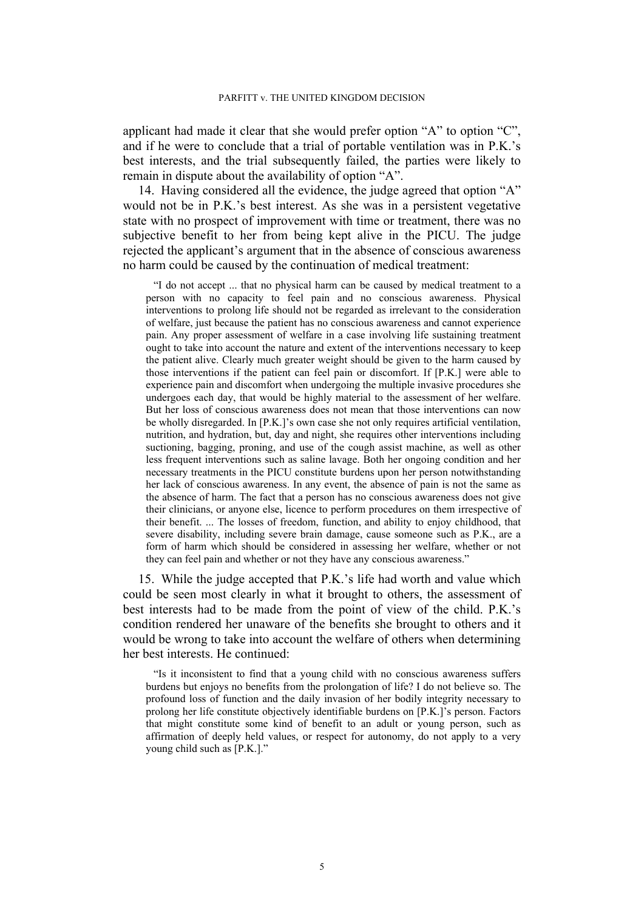applicant had made it clear that she would prefer option "A" to option "C", and if he were to conclude that a trial of portable ventilation was in P.K.'s best interests, and the trial subsequently failed, the parties were likely to remain in dispute about the availability of option "A".

<span id="page-4-0"></span>14. Having considered all the evidence, the judge agreed that option "A" would not be in P.K.'s best interest. As she was in a persistent vegetative state with no prospect of improvement with time or treatment, there was no subjective benefit to her from being kept alive in the PICU. The judge rejected the applicant's argument that in the absence of conscious awareness no harm could be caused by the continuation of medical treatment:

"I do not accept ... that no physical harm can be caused by medical treatment to a person with no capacity to feel pain and no conscious awareness. Physical interventions to prolong life should not be regarded as irrelevant to the consideration of welfare, just because the patient has no conscious awareness and cannot experience pain. Any proper assessment of welfare in a case involving life sustaining treatment ought to take into account the nature and extent of the interventions necessary to keep the patient alive. Clearly much greater weight should be given to the harm caused by those interventions if the patient can feel pain or discomfort. If [P.K.] were able to experience pain and discomfort when undergoing the multiple invasive procedures she undergoes each day, that would be highly material to the assessment of her welfare. But her loss of conscious awareness does not mean that those interventions can now be wholly disregarded. In [P.K.]'s own case she not only requires artificial ventilation, nutrition, and hydration, but, day and night, she requires other interventions including suctioning, bagging, proning, and use of the cough assist machine, as well as other less frequent interventions such as saline lavage. Both her ongoing condition and her necessary treatments in the PICU constitute burdens upon her person notwithstanding her lack of conscious awareness. In any event, the absence of pain is not the same as the absence of harm. The fact that a person has no conscious awareness does not give their clinicians, or anyone else, licence to perform procedures on them irrespective of their benefit. ... The losses of freedom, function, and ability to enjoy childhood, that severe disability, including severe brain damage, cause someone such as P.K., are a form of harm which should be considered in assessing her welfare, whether or not they can feel pain and whether or not they have any conscious awareness."

15. While the judge accepted that P.K.'s life had worth and value which could be seen most clearly in what it brought to others, the assessment of best interests had to be made from the point of view of the child. P.K.'s condition rendered her unaware of the benefits she brought to others and it would be wrong to take into account the welfare of others when determining her best interests. He continued:

"Is it inconsistent to find that a young child with no conscious awareness suffers burdens but enjoys no benefits from the prolongation of life? I do not believe so. The profound loss of function and the daily invasion of her bodily integrity necessary to prolong her life constitute objectively identifiable burdens on [P.K.]'s person. Factors that might constitute some kind of benefit to an adult or young person, such as affirmation of deeply held values, or respect for autonomy, do not apply to a very young child such as [P.K.]."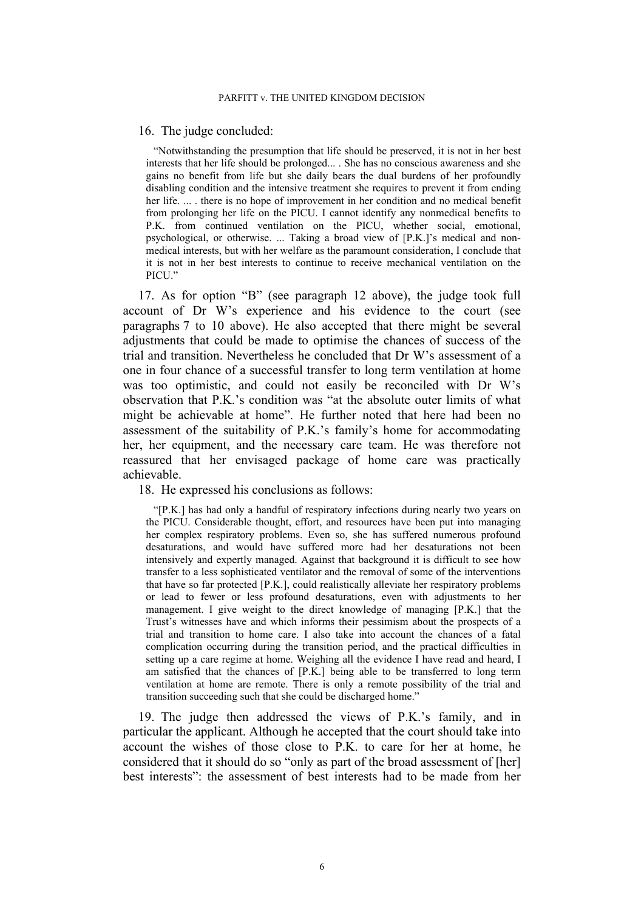#### <span id="page-5-3"></span>16. The judge concluded:

"Notwithstanding the presumption that life should be preserved, it is not in her best interests that her life should be prolonged... . She has no conscious awareness and she gains no benefit from life but she daily bears the dual burdens of her profoundly disabling condition and the intensive treatment she requires to prevent it from ending her life. ... . there is no hope of improvement in her condition and no medical benefit from prolonging her life on the PICU. I cannot identify any nonmedical benefits to P.K. from continued ventilation on the PICU, whether social, emotional, psychological, or otherwise. ... Taking a broad view of [P.K.]'s medical and nonmedical interests, but with her welfare as the paramount consideration, I conclude that it is not in her best interests to continue to receive mechanical ventilation on the PICU."

<span id="page-5-0"></span>17. As for option "B" (see paragraph [12](#page-3-0) above), the judge took full account of Dr W's experience and his evidence to the court (see paragraphs [7](#page-2-0) to [10](#page-3-1) above). He also accepted that there might be several adjustments that could be made to optimise the chances of success of the trial and transition. Nevertheless he concluded that Dr W's assessment of a one in four chance of a successful transfer to long term ventilation at home was too optimistic, and could not easily be reconciled with Dr W's observation that P.K.'s condition was "at the absolute outer limits of what might be achievable at home". He further noted that here had been no assessment of the suitability of P.K.'s family's home for accommodating her, her equipment, and the necessary care team. He was therefore not reassured that her envisaged package of home care was practically achievable.

<span id="page-5-1"></span>18. He expressed his conclusions as follows:

"[P.K.] has had only a handful of respiratory infections during nearly two years on the PICU. Considerable thought, effort, and resources have been put into managing her complex respiratory problems. Even so, she has suffered numerous profound desaturations, and would have suffered more had her desaturations not been intensively and expertly managed. Against that background it is difficult to see how transfer to a less sophisticated ventilator and the removal of some of the interventions that have so far protected [P.K.], could realistically alleviate her respiratory problems or lead to fewer or less profound desaturations, even with adjustments to her management. I give weight to the direct knowledge of managing [P.K.] that the Trust's witnesses have and which informs their pessimism about the prospects of a trial and transition to home care. I also take into account the chances of a fatal complication occurring during the transition period, and the practical difficulties in setting up a care regime at home. Weighing all the evidence I have read and heard, I am satisfied that the chances of [P.K.] being able to be transferred to long term ventilation at home are remote. There is only a remote possibility of the trial and transition succeeding such that she could be discharged home."

<span id="page-5-2"></span>19. The judge then addressed the views of P.K.'s family, and in particular the applicant. Although he accepted that the court should take into account the wishes of those close to P.K. to care for her at home, he considered that it should do so "only as part of the broad assessment of [her] best interests": the assessment of best interests had to be made from her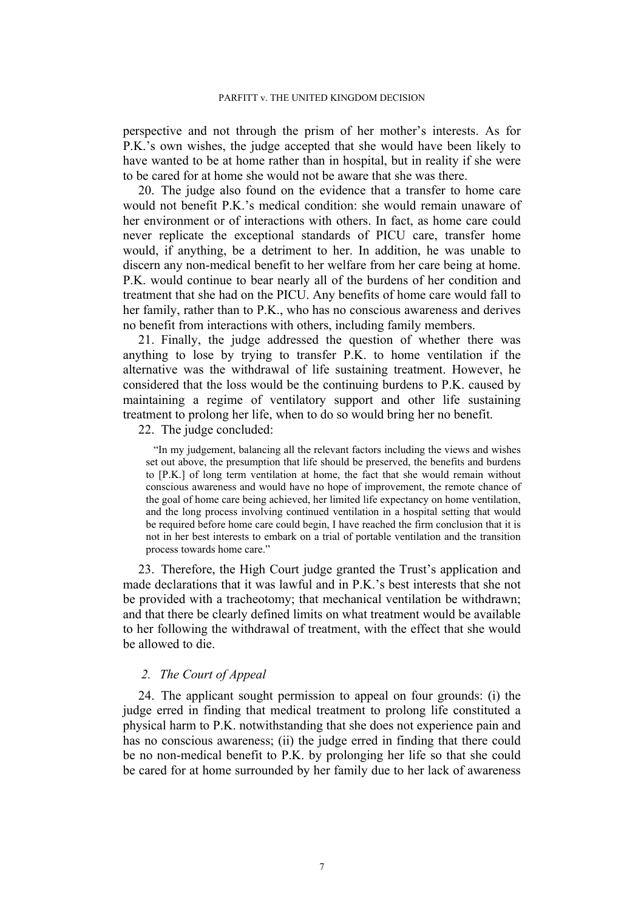perspective and not through the prism of her mother's interests. As for P.K.'s own wishes, the judge accepted that she would have been likely to have wanted to be at home rather than in hospital, but in reality if she were to be cared for at home she would not be aware that she was there.

20. The judge also found on the evidence that a transfer to home care would not benefit P.K.'s medical condition: she would remain unaware of her environment or of interactions with others. In fact, as home care could never replicate the exceptional standards of PICU care, transfer home would, if anything, be a detriment to her. In addition, he was unable to discern any non-medical benefit to her welfare from her care being at home. P.K. would continue to bear nearly all of the burdens of her condition and treatment that she had on the PICU. Any benefits of home care would fall to her family, rather than to P.K., who has no conscious awareness and derives no benefit from interactions with others, including family members.

<span id="page-6-1"></span>21. Finally, the judge addressed the question of whether there was anything to lose by trying to transfer P.K. to home ventilation if the alternative was the withdrawal of life sustaining treatment. However, he considered that the loss would be the continuing burdens to P.K. caused by maintaining a regime of ventilatory support and other life sustaining treatment to prolong her life, when to do so would bring her no benefit.

<span id="page-6-0"></span>22. The judge concluded:

"In my judgement, balancing all the relevant factors including the views and wishes set out above, the presumption that life should be preserved, the benefits and burdens to [P.K.] of long term ventilation at home, the fact that she would remain without conscious awareness and would have no hope of improvement, the remote chance of the goal of home care being achieved, her limited life expectancy on home ventilation, and the long process involving continued ventilation in a hospital setting that would be required before home care could begin, I have reached the firm conclusion that it is not in her best interests to embark on a trial of portable ventilation and the transition process towards home care."

23. Therefore, the High Court judge granted the Trust's application and made declarations that it was lawful and in P.K.'s best interests that she not be provided with a tracheotomy; that mechanical ventilation be withdrawn; and that there be clearly defined limits on what treatment would be available to her following the withdrawal of treatment, with the effect that she would be allowed to die.

### *2. The Court of Appeal*

<span id="page-6-2"></span>24. The applicant sought permission to appeal on four grounds: (i) the judge erred in finding that medical treatment to prolong life constituted a physical harm to P.K. notwithstanding that she does not experience pain and has no conscious awareness; (ii) the judge erred in finding that there could be no non-medical benefit to P.K. by prolonging her life so that she could be cared for at home surrounded by her family due to her lack of awareness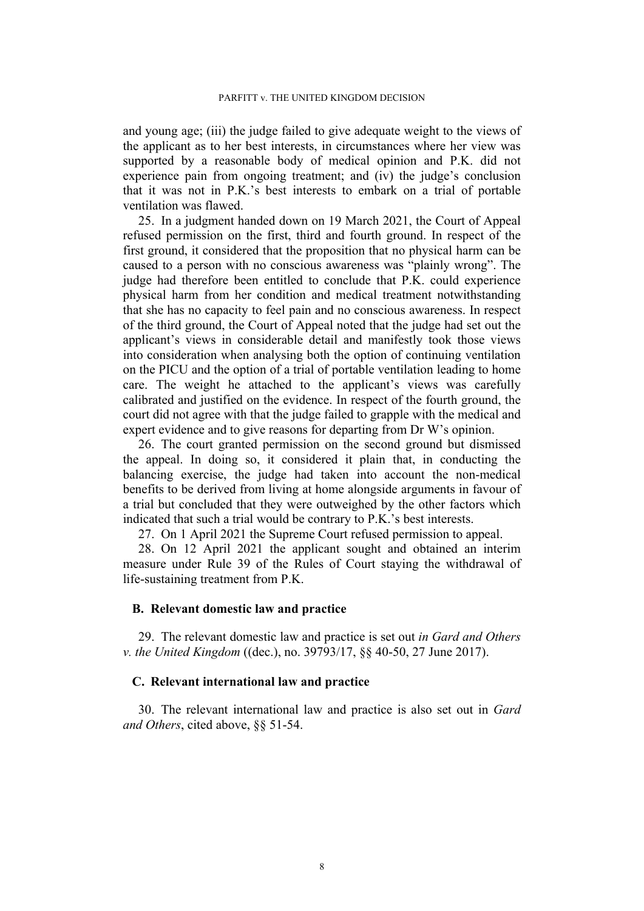and young age; (iii) the judge failed to give adequate weight to the views of the applicant as to her best interests, in circumstances where her view was supported by a reasonable body of medical opinion and P.K. did not experience pain from ongoing treatment; and (iv) the judge's conclusion that it was not in P.K.'s best interests to embark on a trial of portable ventilation was flawed.

<span id="page-7-0"></span>25. In a judgment handed down on 19 March 2021, the Court of Appeal refused permission on the first, third and fourth ground. In respect of the first ground, it considered that the proposition that no physical harm can be caused to a person with no conscious awareness was "plainly wrong". The judge had therefore been entitled to conclude that P.K. could experience physical harm from her condition and medical treatment notwithstanding that she has no capacity to feel pain and no conscious awareness. In respect of the third ground, the Court of Appeal noted that the judge had set out the applicant's views in considerable detail and manifestly took those views into consideration when analysing both the option of continuing ventilation on the PICU and the option of a trial of portable ventilation leading to home care. The weight he attached to the applicant's views was carefully calibrated and justified on the evidence. In respect of the fourth ground, the court did not agree with that the judge failed to grapple with the medical and expert evidence and to give reasons for departing from Dr W's opinion.

26. The court granted permission on the second ground but dismissed the appeal. In doing so, it considered it plain that, in conducting the balancing exercise, the judge had taken into account the non-medical benefits to be derived from living at home alongside arguments in favour of a trial but concluded that they were outweighed by the other factors which indicated that such a trial would be contrary to P.K.'s best interests.

<span id="page-7-1"></span>27. On 1 April 2021 the Supreme Court refused permission to appeal.

28. On 12 April 2021 the applicant sought and obtained an interim measure under Rule 39 of the Rules of Court staying the withdrawal of life-sustaining treatment from P.K.

## **B. Relevant domestic law and practice**

29. The relevant domestic law and practice is set out *in Gard and Others v. the United Kingdom* ((dec.), no. 39793/17, §§ 40-50, 27 June 2017).

## **C. Relevant international law and practice**

30. The relevant international law and practice is also set out in *Gard and Others*, cited above, §§ 51-54.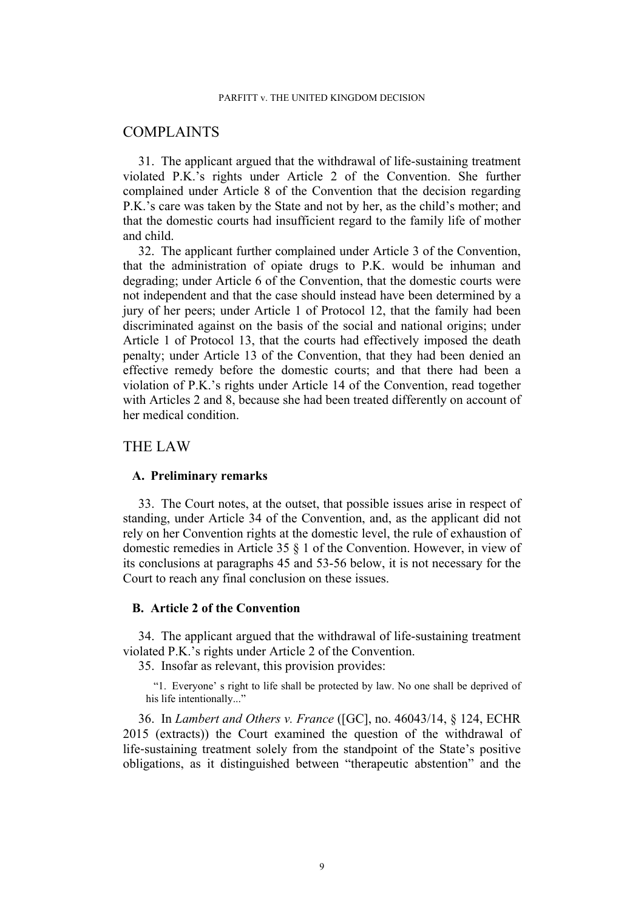## COMPLAINTS

31. The applicant argued that the withdrawal of life-sustaining treatment violated P.K.'s rights under Article 2 of the Convention. She further complained under Article 8 of the Convention that the decision regarding P.K.'s care was taken by the State and not by her, as the child's mother; and that the domestic courts had insufficient regard to the family life of mother and child.

32. The applicant further complained under Article 3 of the Convention, that the administration of opiate drugs to P.K. would be inhuman and degrading; under Article 6 of the Convention, that the domestic courts were not independent and that the case should instead have been determined by a jury of her peers; under Article 1 of Protocol 12, that the family had been discriminated against on the basis of the social and national origins; under Article 1 of Protocol 13, that the courts had effectively imposed the death penalty; under Article 13 of the Convention, that they had been denied an effective remedy before the domestic courts; and that there had been a violation of P.K.'s rights under Article 14 of the Convention, read together with Articles 2 and 8, because she had been treated differently on account of her medical condition.

## THE LAW

### **A. Preliminary remarks**

33. The Court notes, at the outset, that possible issues arise in respect of standing, under Article 34 of the Convention, and, as the applicant did not rely on her Convention rights at the domestic level, the rule of exhaustion of domestic remedies in Article 35 § 1 of the Convention. However, in view of its conclusions at paragraphs [45](#page-10-0) and [53](#page-12-0)[-56](#page-13-0) below, it is not necessary for the Court to reach any final conclusion on these issues.

### **B. Article 2 of the Convention**

34. The applicant argued that the withdrawal of life-sustaining treatment violated P.K.'s rights under Article 2 of the Convention.

35. Insofar as relevant, this provision provides:

"1. Everyone' s right to life shall be protected by law. No one shall be deprived of his life intentionally..."

36. In *Lambert and Others v. France* ([GC], no. 46043/14, § 124, ECHR 2015 (extracts)) the Court examined the question of the withdrawal of life‑sustaining treatment solely from the standpoint of the State's positive obligations, as it distinguished between "therapeutic abstention" and the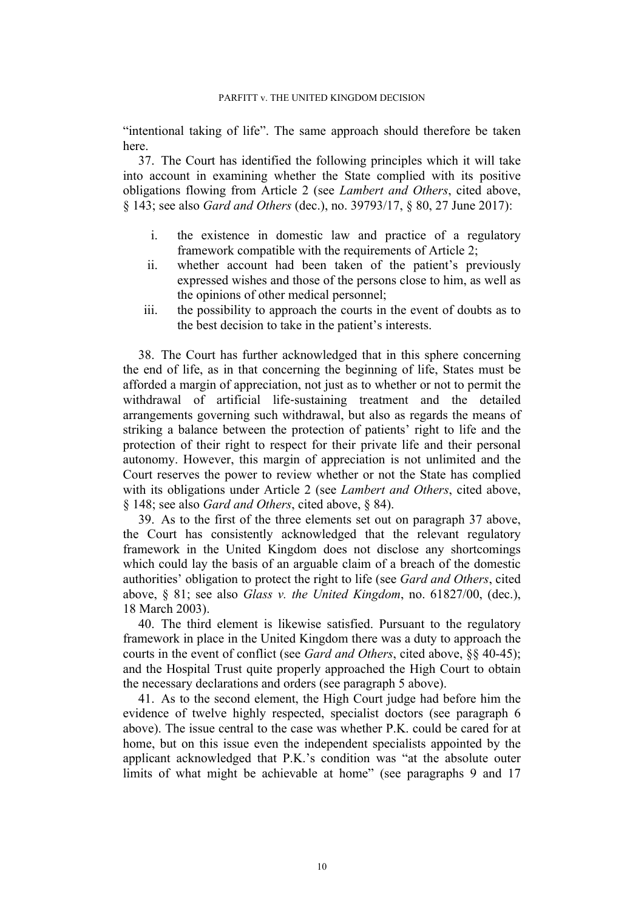"intentional taking of life". The same approach should therefore be taken here.

<span id="page-9-0"></span>37. The Court has identified the following principles which it will take into account in examining whether the State complied with its positive obligations flowing from Article 2 (see *Lambert and Others*, cited above, § 143; see also *Gard and Others* (dec.), no. 39793/17, § 80, 27 June 2017):

- i. the existence in domestic law and practice of a regulatory framework compatible with the requirements of Article 2;
- ii. whether account had been taken of the patient's previously expressed wishes and those of the persons close to him, as well as the opinions of other medical personnel;
- iii. the possibility to approach the courts in the event of doubts as to the best decision to take in the patient's interests.

<span id="page-9-1"></span>38. The Court has further acknowledged that in this sphere concerning the end of life, as in that concerning the beginning of life, States must be afforded a margin of appreciation, not just as to whether or not to permit the withdrawal of artificial life-sustaining treatment and the detailed arrangements governing such withdrawal, but also as regards the means of striking a balance between the protection of patients' right to life and the protection of their right to respect for their private life and their personal autonomy. However, this margin of appreciation is not unlimited and the Court reserves the power to review whether or not the State has complied with its obligations under Article 2 (see *Lambert and Others*, cited above, § 148; see also *Gard and Others*, cited above, § 84).

39. As to the first of the three elements set out on paragraph [37](#page-9-0) above, the Court has consistently acknowledged that the relevant regulatory framework in the United Kingdom does not disclose any shortcomings which could lay the basis of an arguable claim of a breach of the domestic authorities' obligation to protect the right to life (see *Gard and Others*, cited above, § 81; see also *Glass v. the United Kingdom*, no. 61827/00, (dec.), 18 March 2003).

40. The third element is likewise satisfied. Pursuant to the regulatory framework in place in the United Kingdom there was a duty to approach the courts in the event of conflict (see *Gard and Others*, cited above, §§ 40-45); and the Hospital Trust quite properly approached the High Court to obtain the necessary declarations and orders (see paragraph [5](#page-2-1) above).

41. As to the second element, the High Court judge had before him the evidence of twelve highly respected, specialist doctors (see paragraph [6](#page-2-2) above). The issue central to the case was whether P.K. could be cared for at home, but on this issue even the independent specialists appointed by the applicant acknowledged that P.K.'s condition was "at the absolute outer limits of what might be achievable at home" (see paragraphs [9](#page-2-3) and [17](#page-5-0)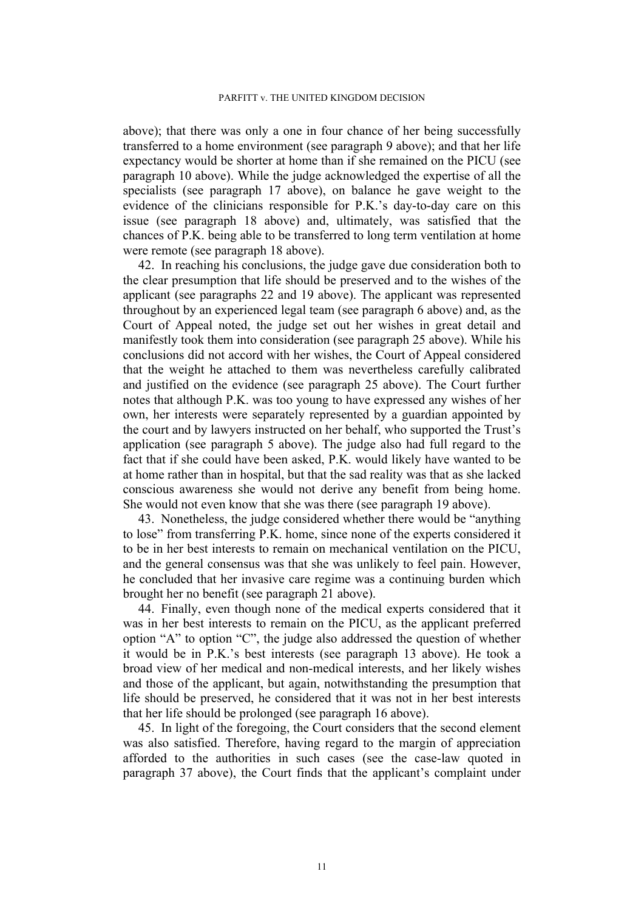above); that there was only a one in four chance of her being successfully transferred to a home environment (see paragraph [9](#page-2-3) above); and that her life expectancy would be shorter at home than if she remained on the PICU (see paragraph [10](#page-3-1) above). While the judge acknowledged the expertise of all the specialists (see paragraph [17](#page-5-0) above), on balance he gave weight to the evidence of the clinicians responsible for P.K.'s day-to-day care on this issue (see paragraph [18](#page-5-1) above) and, ultimately, was satisfied that the chances of P.K. being able to be transferred to long term ventilation at home were remote (see paragraph [18](#page-5-1) above).

42. In reaching his conclusions, the judge gave due consideration both to the clear presumption that life should be preserved and to the wishes of the applicant (see paragraphs [22](#page-6-0) and [19](#page-5-2) above). The applicant was represented throughout by an experienced legal team (see paragraph [6](#page-2-2) above) and, as the Court of Appeal noted, the judge set out her wishes in great detail and manifestly took them into consideration (see paragraph [25](#page-7-0) above). While his conclusions did not accord with her wishes, the Court of Appeal considered that the weight he attached to them was nevertheless carefully calibrated and justified on the evidence (see paragraph [25](#page-7-0) above). The Court further notes that although P.K. was too young to have expressed any wishes of her own, her interests were separately represented by a guardian appointed by the court and by lawyers instructed on her behalf, who supported the Trust's application (see paragraph [5](#page-2-1) above). The judge also had full regard to the fact that if she could have been asked, P.K. would likely have wanted to be at home rather than in hospital, but that the sad reality was that as she lacked conscious awareness she would not derive any benefit from being home. She would not even know that she was there (see paragraph [19](#page-5-2) above).

43. Nonetheless, the judge considered whether there would be "anything to lose" from transferring P.K. home, since none of the experts considered it to be in her best interests to remain on mechanical ventilation on the PICU, and the general consensus was that she was unlikely to feel pain. However, he concluded that her invasive care regime was a continuing burden which brought her no benefit (see paragraph [21](#page-6-1) above).

44. Finally, even though none of the medical experts considered that it was in her best interests to remain on the PICU, as the applicant preferred option "A" to option "C", the judge also addressed the question of whether it would be in P.K.'s best interests (see paragraph [13](#page-3-2) above). He took a broad view of her medical and non-medical interests, and her likely wishes and those of the applicant, but again, notwithstanding the presumption that life should be preserved, he considered that it was not in her best interests that her life should be prolonged (see paragraph [16](#page-5-3) above).

<span id="page-10-0"></span>45. In light of the foregoing, the Court considers that the second element was also satisfied. Therefore, having regard to the margin of appreciation afforded to the authorities in such cases (see the case-law quoted in paragraph [37](#page-9-0) above), the Court finds that the applicant's complaint under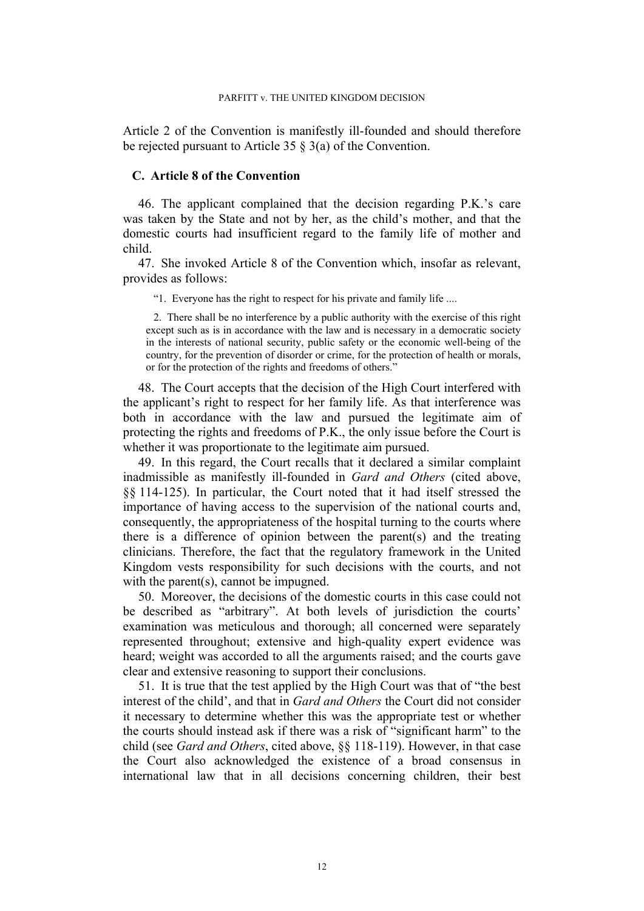Article 2 of the Convention is manifestly ill-founded and should therefore be rejected pursuant to Article 35 § 3(a) of the Convention.

### **C. Article 8 of the Convention**

46. The applicant complained that the decision regarding P.K.'s care was taken by the State and not by her, as the child's mother, and that the domestic courts had insufficient regard to the family life of mother and child.

47. She invoked Article 8 of the Convention which, insofar as relevant, provides as follows:

"1. Everyone has the right to respect for his private and family life ....

2. There shall be no interference by a public authority with the exercise of this right except such as is in accordance with the law and is necessary in a democratic society in the interests of national security, public safety or the economic well-being of the country, for the prevention of disorder or crime, for the protection of health or morals, or for the protection of the rights and freedoms of others."

48. The Court accepts that the decision of the High Court interfered with the applicant's right to respect for her family life. As that interference was both in accordance with the law and pursued the legitimate aim of protecting the rights and freedoms of P.K., the only issue before the Court is whether it was proportionate to the legitimate aim pursued.

49. In this regard, the Court recalls that it declared a similar complaint inadmissible as manifestly ill-founded in *Gard and Others* (cited above, §§ 114-125). In particular, the Court noted that it had itself stressed the importance of having access to the supervision of the national courts and, consequently, the appropriateness of the hospital turning to the courts where there is a difference of opinion between the parent(s) and the treating clinicians. Therefore, the fact that the regulatory framework in the United Kingdom vests responsibility for such decisions with the courts, and not with the parent(s), cannot be impugned.

50. Moreover, the decisions of the domestic courts in this case could not be described as "arbitrary". At both levels of jurisdiction the courts' examination was meticulous and thorough; all concerned were separately represented throughout; extensive and high-quality expert evidence was heard; weight was accorded to all the arguments raised; and the courts gave clear and extensive reasoning to support their conclusions.

51. It is true that the test applied by the High Court was that of "the best interest of the child', and that in *Gard and Others* the Court did not consider it necessary to determine whether this was the appropriate test or whether the courts should instead ask if there was a risk of "significant harm" to the child (see *Gard and Others*, cited above, §§ 118-119). However, in that case the Court also acknowledged the existence of a broad consensus in international law that in all decisions concerning children, their best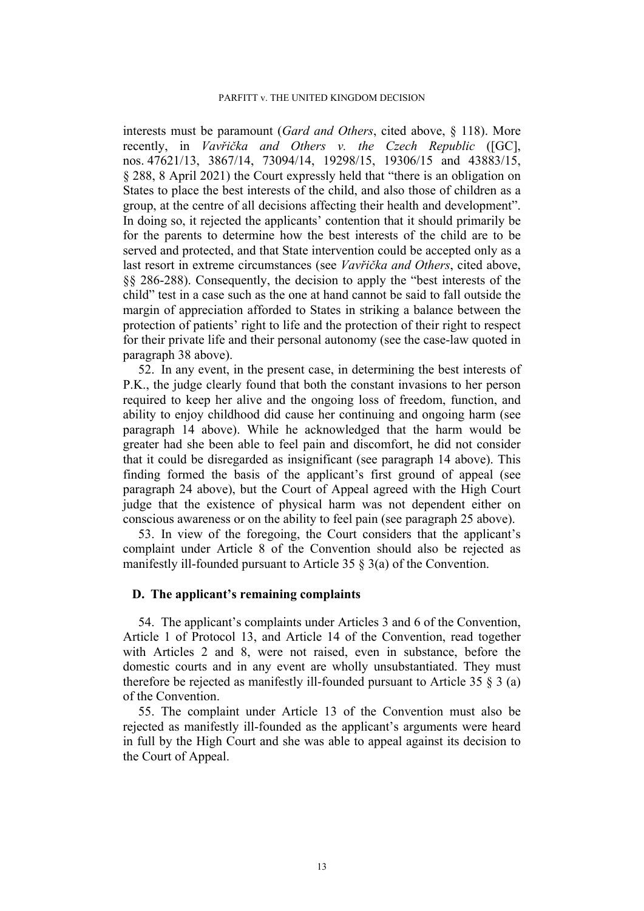#### PARFITT v. THE UNITED KINGDOM DECISION

interests must be paramount (*Gard and Others*, cited above, § 118). More recently, in *Vavřička and Others v. the Czech Republic* ([GC], nos. 47621/13, 3867/14, 73094/14, 19298/15, 19306/15 and 43883/15, § 288, 8 April 2021) the Court expressly held that "there is an obligation on States to place the best interests of the child, and also those of children as a group, at the centre of all decisions affecting their health and development". In doing so, it rejected the applicants' contention that it should primarily be for the parents to determine how the best interests of the child are to be served and protected, and that State intervention could be accepted only as a last resort in extreme circumstances (see *Vavřička and Others*, cited above, §§ 286-288). Consequently, the decision to apply the "best interests of the child" test in a case such as the one at hand cannot be said to fall outside the margin of appreciation afforded to States in striking a balance between the protection of patients' right to life and the protection of their right to respect for their private life and their personal autonomy (see the case-law quoted in paragraph [38](#page-9-1) above).

52. In any event, in the present case, in determining the best interests of P.K., the judge clearly found that both the constant invasions to her person required to keep her alive and the ongoing loss of freedom, function, and ability to enjoy childhood did cause her continuing and ongoing harm (see paragraph [14](#page-4-0) above). While he acknowledged that the harm would be greater had she been able to feel pain and discomfort, he did not consider that it could be disregarded as insignificant (see paragraph [14](#page-4-0) above). This finding formed the basis of the applicant's first ground of appeal (see paragraph [24](#page-6-2) above), but the Court of Appeal agreed with the High Court judge that the existence of physical harm was not dependent either on conscious awareness or on the ability to feel pain (see paragraph [25](#page-7-0) above).

<span id="page-12-0"></span>53. In view of the foregoing, the Court considers that the applicant's complaint under Article 8 of the Convention should also be rejected as manifestly ill-founded pursuant to Article 35 § 3(a) of the Convention.

### **D. The applicant's remaining complaints**

54. The applicant's complaints under Articles 3 and 6 of the Convention, Article 1 of Protocol 13, and Article 14 of the Convention, read together with Articles 2 and 8, were not raised, even in substance, before the domestic courts and in any event are wholly unsubstantiated. They must therefore be rejected as manifestly ill-founded pursuant to Article 35 § 3 (a) of the Convention.

55. The complaint under Article 13 of the Convention must also be rejected as manifestly ill-founded as the applicant's arguments were heard in full by the High Court and she was able to appeal against its decision to the Court of Appeal.